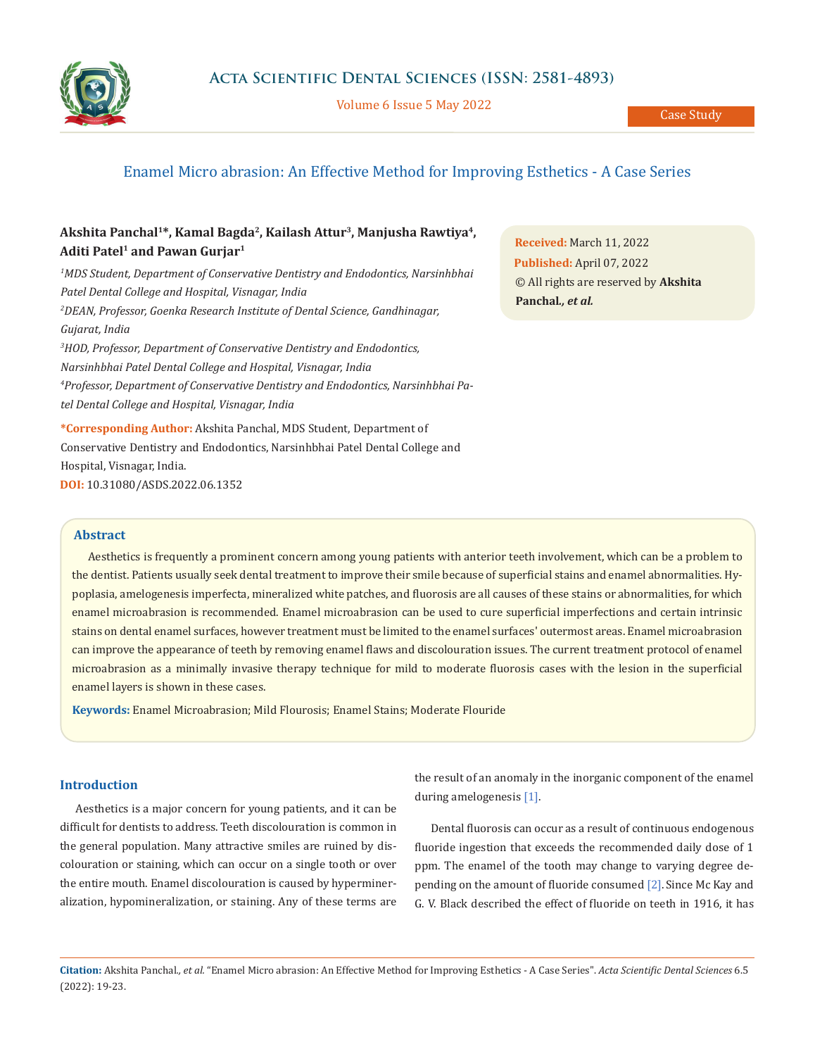

Volume 6 Issue 5 May 2022

# Enamel Micro abrasion: An Effective Method for Improving Esthetics - A Case Series

## Akshita Panchal<sup>1\*</sup>, Kamal Bagda<sup>2</sup>, Kailash Attur<sup>3</sup>, Manjusha Rawtiya<sup>4</sup>, Aditi Patel<sup>1</sup> and Pawan Gurjar<sup>1</sup>

*1 MDS Student, Department of Conservative Dentistry and Endodontics, Narsinhbhai Patel Dental College and Hospital, Visnagar, India 2 DEAN, Professor, Goenka Research Institute of Dental Science, Gandhinagar, Gujarat, India 3 HOD, Professor, Department of Conservative Dentistry and Endodontics, Narsinhbhai Patel Dental College and Hospital, Visnagar, India 4 Professor, Department of Conservative Dentistry and Endodontics, Narsinhbhai Pa-*

*tel Dental College and Hospital, Visnagar, India*

**\*Corresponding Author:** Akshita Panchal, MDS Student, Department of Conservative Dentistry and Endodontics, Narsinhbhai Patel Dental College and Hospital, Visnagar, India. **DOI:** [10.31080/ASDS.2022.06.1352](https://actascientific.com/ASDS/pdf/ASDS-06-1352.pdf)

**Received:** March 11, 2022 **Published:** April 07, 2022 © All rights are reserved by **Akshita Panchal***., et al.*

### **Abstract**

Aesthetics is frequently a prominent concern among young patients with anterior teeth involvement, which can be a problem to the dentist. Patients usually seek dental treatment to improve their smile because of superficial stains and enamel abnormalities. Hypoplasia, amelogenesis imperfecta, mineralized white patches, and fluorosis are all causes of these stains or abnormalities, for which enamel microabrasion is recommended. Enamel microabrasion can be used to cure superficial imperfections and certain intrinsic stains on dental enamel surfaces, however treatment must be limited to the enamel surfaces' outermost areas. Enamel microabrasion can improve the appearance of teeth by removing enamel flaws and discolouration issues. The current treatment protocol of enamel microabrasion as a minimally invasive therapy technique for mild to moderate fluorosis cases with the lesion in the superficial enamel layers is shown in these cases.

**Keywords:** Enamel Microabrasion; Mild Flourosis; Enamel Stains; Moderate Flouride

## **Introduction**

Aesthetics is a major concern for young patients, and it can be difficult for dentists to address. Teeth discolouration is common in the general population. Many attractive smiles are ruined by discolouration or staining, which can occur on a single tooth or over the entire mouth. Enamel discolouration is caused by hypermineralization, hypomineralization, or staining. Any of these terms are the result of an anomaly in the inorganic component of the enamel during amelogenesis [1].

Dental fluorosis can occur as a result of continuous endogenous fluoride ingestion that exceeds the recommended daily dose of 1 ppm. The enamel of the tooth may change to varying degree depending on the amount of fluoride consumed [2].Since Mc Kay and G. V. Black described the effect of fluoride on teeth in 1916, it has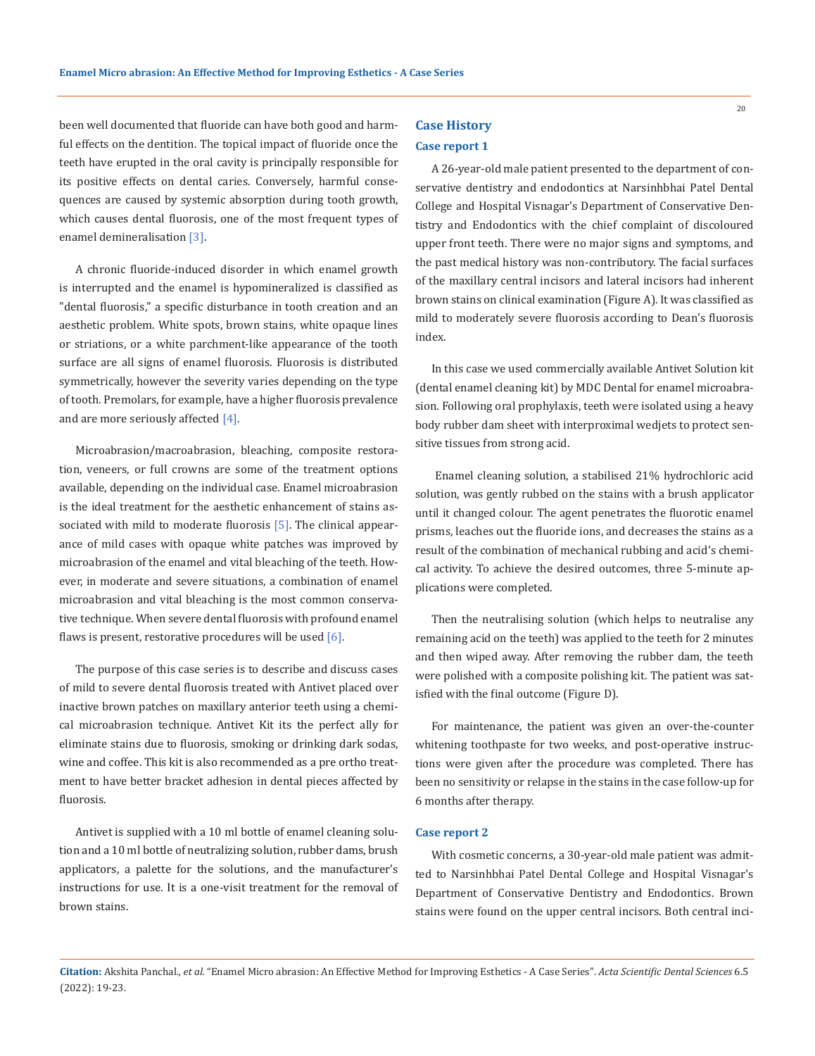been well documented that fluoride can have both good and harmful effects on the dentition. The topical impact of fluoride once the teeth have erupted in the oral cavity is principally responsible for its positive effects on dental caries. Conversely, harmful consequences are caused by systemic absorption during tooth growth, which causes dental fluorosis, one of the most frequent types of enamel demineralisation [3].

A chronic fluoride-induced disorder in which enamel growth is interrupted and the enamel is hypomineralized is classified as "dental fluorosis," a specific disturbance in tooth creation and an aesthetic problem. White spots, brown stains, white opaque lines or striations, or a white parchment-like appearance of the tooth surface are all signs of enamel fluorosis. Fluorosis is distributed symmetrically, however the severity varies depending on the type of tooth. Premolars, for example, have a higher fluorosis prevalence and are more seriously affected [4].

Microabrasion/macroabrasion, bleaching, composite restoration, veneers, or full crowns are some of the treatment options available, depending on the individual case. Enamel microabrasion is the ideal treatment for the aesthetic enhancement of stains associated with mild to moderate fluorosis  $[5]$ . The clinical appearance of mild cases with opaque white patches was improved by microabrasion of the enamel and vital bleaching of the teeth. However, in moderate and severe situations, a combination of enamel microabrasion and vital bleaching is the most common conservative technique. When severe dental fluorosis with profound enamel flaws is present, restorative procedures will be used  $[6]$ .

The purpose of this case series is to describe and discuss cases of mild to severe dental fluorosis treated with Antivet placed over inactive brown patches on maxillary anterior teeth using a chemical microabrasion technique. Antivet Kit its the perfect ally for eliminate stains due to fluorosis, smoking or drinking dark sodas, wine and coffee. This kit is also recommended as a pre ortho treatment to have better bracket adhesion in dental pieces affected by fluorosis.

Antivet is supplied with a 10 ml bottle of enamel cleaning solution and a 10 ml bottle of neutralizing solution, rubber dams, brush applicators, a palette for the solutions, and the manufacturer's instructions for use. It is a one-visit treatment for the removal of brown stains.

## **Case History Case report 1**

A 26-year-old male patient presented to the department of conservative dentistry and endodontics at Narsinhbhai Patel Dental College and Hospital Visnagar's Department of Conservative Dentistry and Endodontics with the chief complaint of discoloured upper front teeth. There were no major signs and symptoms, and the past medical history was non-contributory. The facial surfaces of the maxillary central incisors and lateral incisors had inherent brown stains on clinical examination (Figure A). It was classified as mild to moderately severe fluorosis according to Dean's fluorosis index.

In this case we used commercially available Antivet Solution kit (dental enamel cleaning kit) by MDC Dental for enamel microabrasion. Following oral prophylaxis, teeth were isolated using a heavy body rubber dam sheet with interproximal wedjets to protect sensitive tissues from strong acid.

 Enamel cleaning solution, a stabilised 21% hydrochloric acid solution, was gently rubbed on the stains with a brush applicator until it changed colour. The agent penetrates the fluorotic enamel prisms, leaches out the fluoride ions, and decreases the stains as a result of the combination of mechanical rubbing and acid's chemical activity. To achieve the desired outcomes, three 5-minute applications were completed.

Then the neutralising solution (which helps to neutralise any remaining acid on the teeth) was applied to the teeth for 2 minutes and then wiped away. After removing the rubber dam, the teeth were polished with a composite polishing kit. The patient was satisfied with the final outcome (Figure D).

For maintenance, the patient was given an over-the-counter whitening toothpaste for two weeks, and post-operative instructions were given after the procedure was completed. There has been no sensitivity or relapse in the stains in the case follow-up for 6 months after therapy.

#### **Case report 2**

With cosmetic concerns, a 30-year-old male patient was admitted to Narsinhbhai Patel Dental College and Hospital Visnagar's Department of Conservative Dentistry and Endodontics. Brown stains were found on the upper central incisors. Both central inci-

**Citation:** Akshita Panchal*., et al.* "Enamel Micro abrasion: An Effective Method for Improving Esthetics - A Case Series". *Acta Scientific Dental Sciences* 6.5 (2022): 19-23.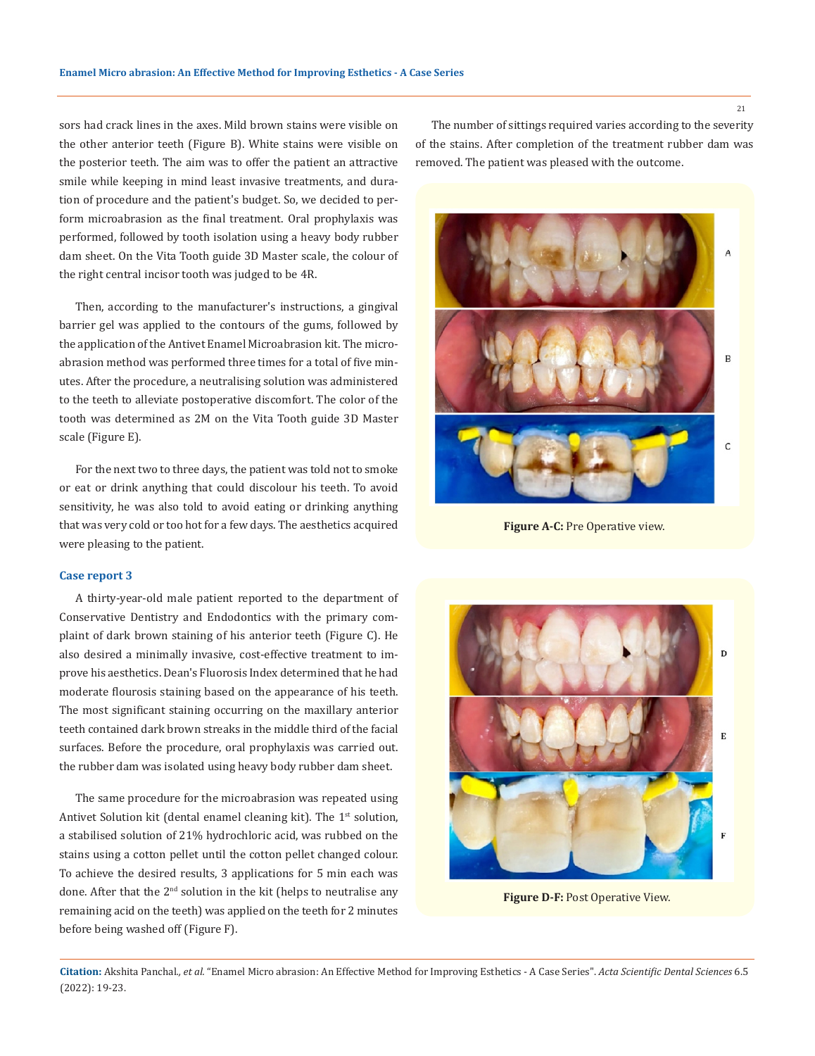sors had crack lines in the axes. Mild brown stains were visible on the other anterior teeth (Figure B). White stains were visible on the posterior teeth. The aim was to offer the patient an attractive smile while keeping in mind least invasive treatments, and duration of procedure and the patient's budget. So, we decided to perform microabrasion as the final treatment. Oral prophylaxis was performed, followed by tooth isolation using a heavy body rubber dam sheet. On the Vita Tooth guide 3D Master scale, the colour of the right central incisor tooth was judged to be 4R.

Then, according to the manufacturer's instructions, a gingival barrier gel was applied to the contours of the gums, followed by the application of the Antivet Enamel Microabrasion kit. The microabrasion method was performed three times for a total of five minutes. After the procedure, a neutralising solution was administered to the teeth to alleviate postoperative discomfort. The color of the tooth was determined as 2M on the Vita Tooth guide 3D Master scale (Figure E).

For the next two to three days, the patient was told not to smoke or eat or drink anything that could discolour his teeth. To avoid sensitivity, he was also told to avoid eating or drinking anything that was very cold or too hot for a few days. The aesthetics acquired were pleasing to the patient.

#### **Case report 3**

A thirty-year-old male patient reported to the department of Conservative Dentistry and Endodontics with the primary complaint of dark brown staining of his anterior teeth (Figure C). He also desired a minimally invasive, cost-effective treatment to improve his aesthetics. Dean's Fluorosis Index determined that he had moderate flourosis staining based on the appearance of his teeth. The most significant staining occurring on the maxillary anterior teeth contained dark brown streaks in the middle third of the facial surfaces. Before the procedure, oral prophylaxis was carried out. the rubber dam was isolated using heavy body rubber dam sheet.

The same procedure for the microabrasion was repeated using Antivet Solution kit (dental enamel cleaning kit). The 1<sup>st</sup> solution, a stabilised solution of 21% hydrochloric acid, was rubbed on the stains using a cotton pellet until the cotton pellet changed colour. To achieve the desired results, 3 applications for 5 min each was done. After that the  $2<sup>nd</sup>$  solution in the kit (helps to neutralise any remaining acid on the teeth) was applied on the teeth for 2 minutes before being washed off (Figure F).

The number of sittings required varies according to the severity of the stains. After completion of the treatment rubber dam was removed. The patient was pleased with the outcome.



**Figure A-C:** Pre Operative view.



**Figure D-F:** Post Operative View.

**Citation:** Akshita Panchal*., et al.* "Enamel Micro abrasion: An Effective Method for Improving Esthetics - A Case Series". *Acta Scientific Dental Sciences* 6.5 (2022): 19-23.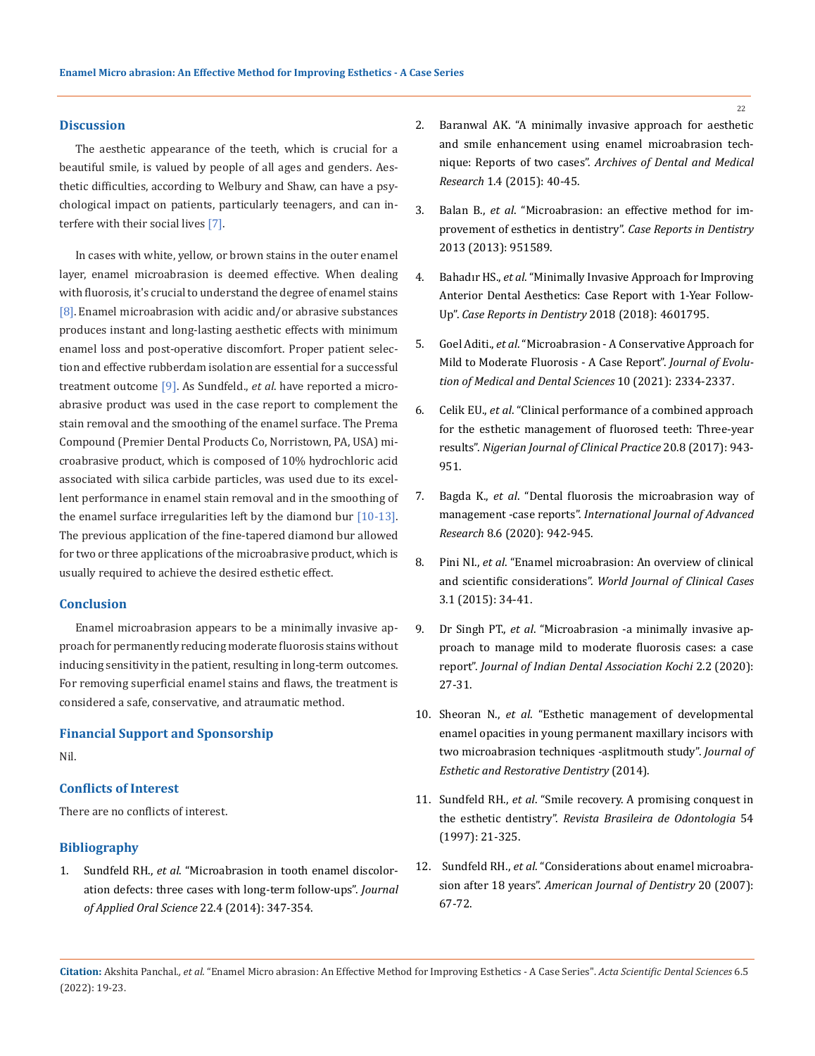#### **Discussion**

The aesthetic appearance of the teeth, which is crucial for a beautiful smile, is valued by people of all ages and genders. Aesthetic difficulties, according to Welbury and Shaw, can have a psychological impact on patients, particularly teenagers, and can interfere with their social lives [7].

In cases with white, yellow, or brown stains in the outer enamel layer, enamel microabrasion is deemed effective. When dealing with fluorosis, it's crucial to understand the degree of enamel stains [8]. Enamel microabrasion with acidic and/or abrasive substances produces instant and long-lasting aesthetic effects with minimum enamel loss and post-operative discomfort. Proper patient selection and effective rubberdam isolation are essential for a successful treatment outcome [9]. As Sundfeld., *et al*. have reported a microabrasive product was used in the case report to complement the stain removal and the smoothing of the enamel surface. The Prema Compound (Premier Dental Products Co, Norristown, PA, USA) microabrasive product, which is composed of 10% hydrochloric acid associated with silica carbide particles, was used due to its excellent performance in enamel stain removal and in the smoothing of the enamel surface irregularities left by the diamond bur [10-13]. The previous application of the fine-tapered diamond bur allowed for two or three applications of the microabrasive product, which is usually required to achieve the desired esthetic effect.

#### **Conclusion**

Enamel microabrasion appears to be a minimally invasive approach for permanently reducing moderate fluorosis stains without inducing sensitivity in the patient, resulting in long-term outcomes. For removing superficial enamel stains and flaws, the treatment is considered a safe, conservative, and atraumatic method.

#### **Financial Support and Sponsorship**

Nil.

### **Conflicts of Interest**

There are no conflicts of interest.

#### **Bibliography**

1. Sundfeld RH., *et al*[. "Microabrasion in tooth enamel discolor](https://pubmed.ncbi.nlm.nih.gov/25141208/)[ation defects: three cases with long-term follow-ups".](https://pubmed.ncbi.nlm.nih.gov/25141208/) *Journal [of Applied Oral Science](https://pubmed.ncbi.nlm.nih.gov/25141208/)* 22.4 (2014): 347-354.

- 2. [Baranwal AK. "A minimally invasive approach for aesthetic](http://www.aodmr.com/uploads/3/1/2/3/31236511/8._aodmr_baranwal_ak.pdf)  [and smile enhancement using enamel microabrasion tech](http://www.aodmr.com/uploads/3/1/2/3/31236511/8._aodmr_baranwal_ak.pdf)nique: Reports of two cases". *[Archives of Dental and Medical](http://www.aodmr.com/uploads/3/1/2/3/31236511/8._aodmr_baranwal_ak.pdf)  Research* [1.4 \(2015\): 40-45.](http://www.aodmr.com/uploads/3/1/2/3/31236511/8._aodmr_baranwal_ak.pdf)
- 3. Balan B., *et al*[. "Microabrasion: an effective method for im](https://pubmed.ncbi.nlm.nih.gov/24222868/)[provement of esthetics in dentistry".](https://pubmed.ncbi.nlm.nih.gov/24222868/) *Case Reports in Dentistry*  [2013 \(2013\): 951589.](https://pubmed.ncbi.nlm.nih.gov/24222868/)
- 4. Bahadır HS., *et al*[. "Minimally Invasive Approach for Improving](https://pubmed.ncbi.nlm.nih.gov/30271637/)  [Anterior Dental Aesthetics: Case Report with 1-Year Follow-](https://pubmed.ncbi.nlm.nih.gov/30271637/)Up". *[Case Reports in Dentistry](https://pubmed.ncbi.nlm.nih.gov/30271637/)* 2018 (2018): 4601795.
- 5. Goel Aditi., *et al*[. "Microabrasion A Conservative Approach for](https://www.researchgate.net/publication/353772429_Microabrasion_-_A_Conservative_Approach_for_Mild_to_Moderate_Fluorosis_-_A_Case_Report)  [Mild to Moderate Fluorosis - A Case Report".](https://www.researchgate.net/publication/353772429_Microabrasion_-_A_Conservative_Approach_for_Mild_to_Moderate_Fluorosis_-_A_Case_Report) *Journal of Evolu[tion of Medical and Dental Sciences](https://www.researchgate.net/publication/353772429_Microabrasion_-_A_Conservative_Approach_for_Mild_to_Moderate_Fluorosis_-_A_Case_Report)* 10 (2021): 2334-2337.
- 6. Celik EU., *et al*[. "Clinical performance of a combined approach](https://pubmed.ncbi.nlm.nih.gov/28891537/)  [for the esthetic management of fluorosed teeth: Three-year](https://pubmed.ncbi.nlm.nih.gov/28891537/)  results". *[Nigerian Journal of Clinical Practice](https://pubmed.ncbi.nlm.nih.gov/28891537/)* 20.8 (2017): 943- [951.](https://pubmed.ncbi.nlm.nih.gov/28891537/)
- 7. Bagda K., *et al*. "Dental fluorosis the microabrasion way of management -case reports". *International Journal of Advanced Research* 8.6 (2020): 942-945.
- 8. Pini NI., *et al*[. "Enamel microabrasion: An overview of clinical](https://pubmed.ncbi.nlm.nih.gov/25610848/)  and scientific considerations". *[World Journal of Clinical Cases](https://pubmed.ncbi.nlm.nih.gov/25610848/)*  [3.1 \(2015\): 34-41.](https://pubmed.ncbi.nlm.nih.gov/25610848/)
- 9. Dr Singh PT., *et al*. "Microabrasion -a minimally invasive approach to manage mild to moderate fluorosis cases: a case report". *Journal of Indian Dental Association Kochi* 2.2 (2020): 27-31.
- 10. Sheoran N., *et al*[. "Esthetic management of developmental](https://pubmed.ncbi.nlm.nih.gov/24588784/)  [enamel opacities in young permanent maxillary incisors with](https://pubmed.ncbi.nlm.nih.gov/24588784/)  [two microabrasion techniques -asplitmouth study".](https://pubmed.ncbi.nlm.nih.gov/24588784/) *Journal of [Esthetic and Restorative Dentistry](https://pubmed.ncbi.nlm.nih.gov/24588784/)* (2014).
- 11. Sundfeld RH., *et al*. "Smile recovery. A promising conquest in the esthetic dentistry". *Revista Brasileira de Odontologia* 54 (1997): 21-325.
- 12. Sundfeld RH., *et al*[. "Considerations about enamel microabra](https://pubmed.ncbi.nlm.nih.gov/17542197/)sion after 18 years". *[American Journal of Dentistry](https://pubmed.ncbi.nlm.nih.gov/17542197/)* 20 (2007): [67-72.](https://pubmed.ncbi.nlm.nih.gov/17542197/)
- **Citation:** Akshita Panchal*., et al.* "Enamel Micro abrasion: An Effective Method for Improving Esthetics A Case Series". *Acta Scientific Dental Sciences* 6.5 (2022): 19-23.

22